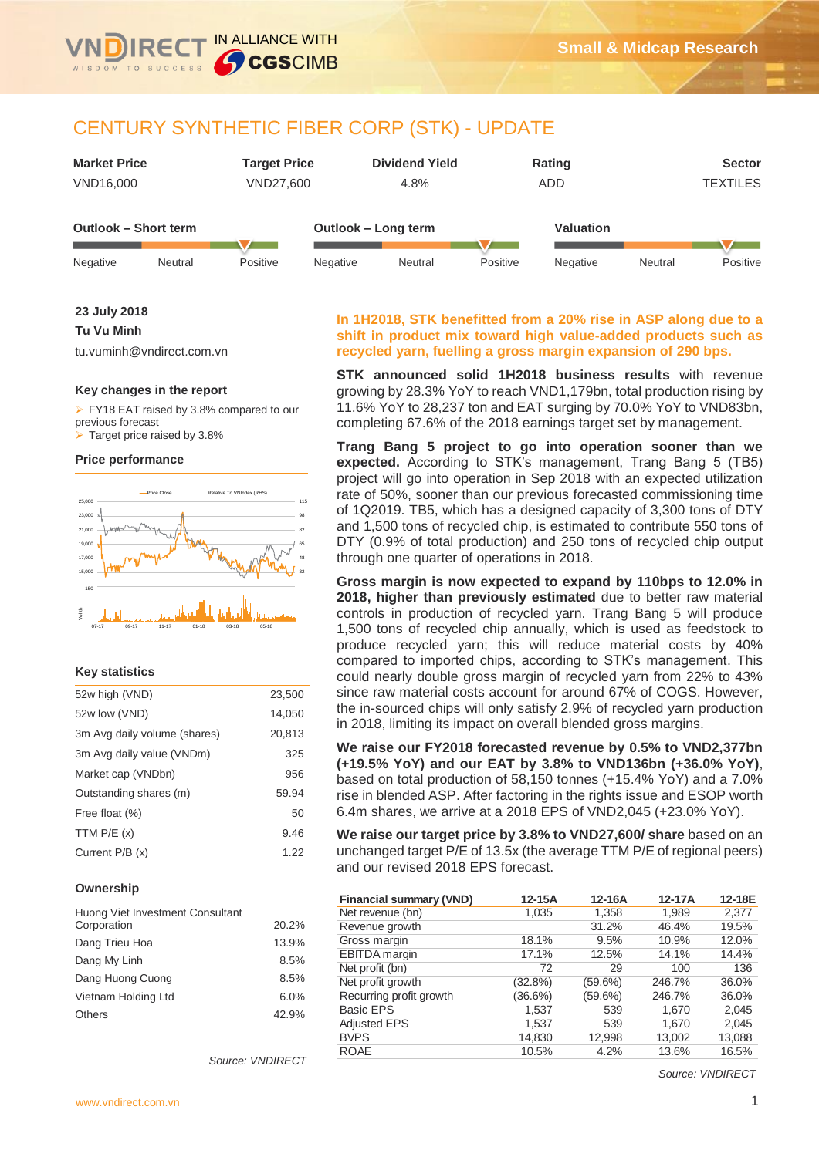

# CENTURY SYNTHETIC FIBER CORP (STK) - UPDATE

| <b>Market Price</b>         | <b>Target Price</b> | <b>Dividend Yield</b> | Rating           | <b>Sector</b>   |
|-----------------------------|---------------------|-----------------------|------------------|-----------------|
| VND16,000                   | VND27,600           | 4.8%                  | ADD              | <b>TEXTILES</b> |
|                             |                     |                       |                  |                 |
| <b>Outlook - Short term</b> |                     | Outlook – Long term   | <b>Valuation</b> |                 |
|                             |                     |                       |                  |                 |

Negative Neutral Positive Negative Neutral Positive Negative Neutral Positive

### **23 July 2018**

### **Tu Vu Minh**

tu.vuminh@vndirect.com.vn

### **Key changes in the report**

FY18 EAT raised by 3.8% compared to our previous forecast

▶ Target price raised by 3.8%

### **Price performance**



### **Key statistics**

| 52w high (VND)               | 23,500 |
|------------------------------|--------|
| 52w low (VND)                | 14,050 |
| 3m Avg daily volume (shares) | 20,813 |
| 3m Avg daily value (VNDm)    | 325    |
| Market cap (VNDbn)           | 956    |
| Outstanding shares (m)       | 59.94  |
| Free float (%)               | 50     |
| TTM $P/E(x)$                 | 9.46   |
| Current P/B (x)              | 1.22   |

### **Ownership**

| Huong Viet Investment Consultant |       |
|----------------------------------|-------|
| Corporation                      | 20.2% |
| Dang Trieu Hoa                   | 13.9% |
| Dang My Linh                     | 8.5%  |
| Dang Huong Cuong                 | 8.5%  |
| Vietnam Holding Ltd              | 6.0%  |
| <b>Others</b>                    | 42.9% |
|                                  |       |

*Source: VNDIRECT*

### **In 1H2018, STK benefitted from a 20% rise in ASP along due to a shift in product mix toward high value-added products such as recycled yarn, fuelling a gross margin expansion of 290 bps.**

**STK announced solid 1H2018 business results** with revenue growing by 28.3% YoY to reach VND1,179bn, total production rising by 11.6% YoY to 28,237 ton and EAT surging by 70.0% YoY to VND83bn, completing 67.6% of the 2018 earnings target set by management.

**Trang Bang 5 project to go into operation sooner than we expected.** According to STK's management, Trang Bang 5 (TB5) project will go into operation in Sep 2018 with an expected utilization rate of 50%, sooner than our previous forecasted commissioning time of 1Q2019. TB5, which has a designed capacity of 3,300 tons of DTY and 1,500 tons of recycled chip, is estimated to contribute 550 tons of DTY (0.9% of total production) and 250 tons of recycled chip output through one quarter of operations in 2018.

**Gross margin is now expected to expand by 110bps to 12.0% in 2018, higher than previously estimated** due to better raw material controls in production of recycled yarn. Trang Bang 5 will produce 1,500 tons of recycled chip annually, which is used as feedstock to produce recycled yarn; this will reduce material costs by 40% compared to imported chips, according to STK's management. This could nearly double gross margin of recycled yarn from 22% to 43% since raw material costs account for around 67% of COGS. However, the in-sourced chips will only satisfy 2.9% of recycled yarn production in 2018, limiting its impact on overall blended gross margins.

**We raise our FY2018 forecasted revenue by 0.5% to VND2,377bn (+19.5% YoY) and our EAT by 3.8% to VND136bn (+36.0% YoY)**, based on total production of 58,150 tonnes (+15.4% YoY) and a 7.0% rise in blended ASP. After factoring in the rights issue and ESOP worth 6.4m shares, we arrive at a 2018 EPS of VND2,045 (+23.0% YoY).

**We raise our target price by 3.8% to VND27,600/ share** based on an unchanged target P/E of 13.5x (the average TTM P/E of regional peers) and our revised 2018 EPS forecast.

| <b>Financial summary (VND)</b> | 12-15A  | 12-16A  | 12-17A | 12-18E |
|--------------------------------|---------|---------|--------|--------|
| Net revenue (bn)               | 1,035   | 1,358   | 1,989  | 2,377  |
| Revenue growth                 |         | 31.2%   | 46.4%  | 19.5%  |
| Gross margin                   | 18.1%   | 9.5%    | 10.9%  | 12.0%  |
| EBITDA margin                  | 17.1%   | 12.5%   | 14.1%  | 14.4%  |
| Net profit (bn)                | 72      | 29      | 100    | 136    |
| Net profit growth              | (32.8%) | (59.6%) | 246.7% | 36.0%  |
| Recurring profit growth        | (36.6%) | (59.6%) | 246.7% | 36.0%  |
| <b>Basic EPS</b>               | 1,537   | 539     | 1,670  | 2,045  |
| <b>Adjusted EPS</b>            | 1,537   | 539     | 1,670  | 2,045  |
| <b>BVPS</b>                    | 14,830  | 12,998  | 13,002 | 13,088 |
| <b>ROAE</b>                    | 10.5%   | 4.2%    | 13.6%  | 16.5%  |

*Source: VNDIRECT*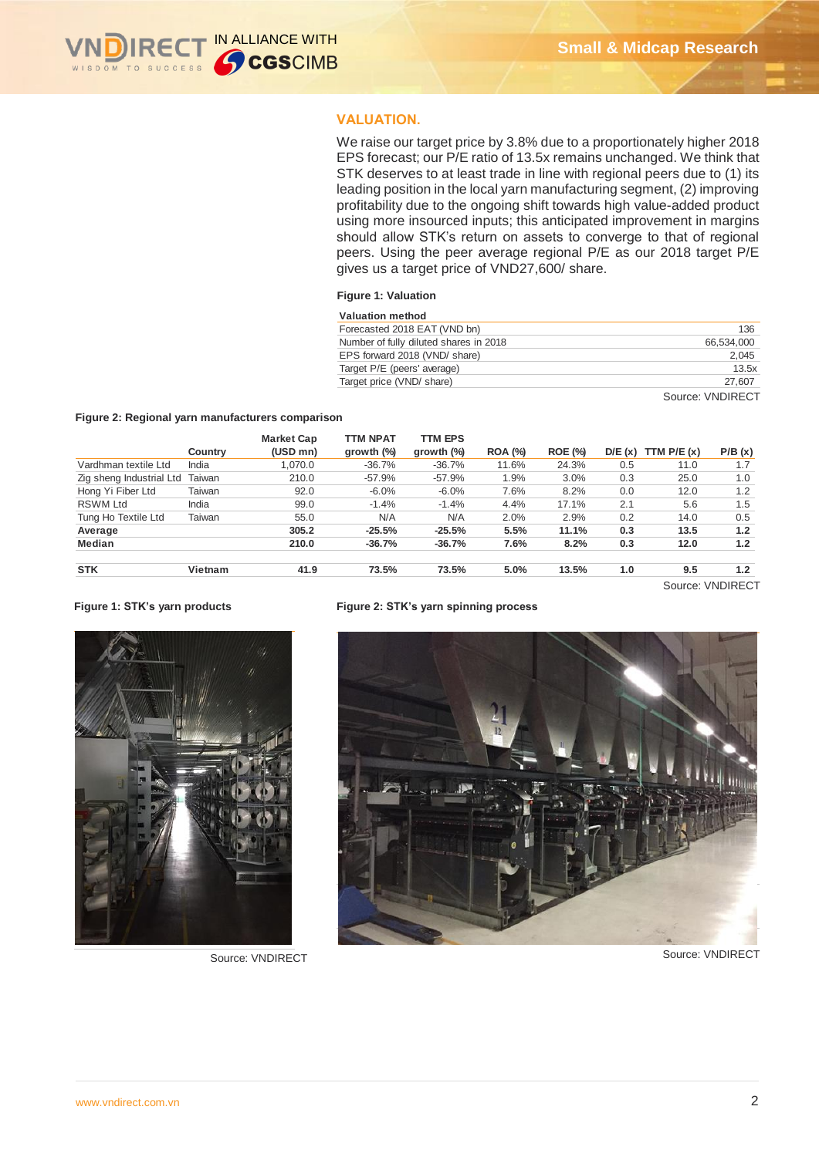

### **VALUATION.**

We raise our target price by 3.8% due to a proportionately higher 2018 EPS forecast; our P/E ratio of 13.5x remains unchanged. We think that STK deserves to at least trade in line with regional peers due to (1) its leading position in the local yarn manufacturing segment, (2) improving profitability due to the ongoing shift towards high value-added product using more insourced inputs; this anticipated improvement in margins should allow STK's return on assets to converge to that of regional peers. Using the peer average regional P/E as our 2018 target P/E gives us a target price of VND27,600/ share.

### **Figure 1: Valuation**

| <b>Valuation method</b>                |                  |
|----------------------------------------|------------------|
| Forecasted 2018 EAT (VND bn)           | 136              |
| Number of fully diluted shares in 2018 | 66,534,000       |
| EPS forward 2018 (VND/ share)          | 2.045            |
| Target P/E (peers' average)            | 13.5x            |
| Target price (VND/ share)              | 27.607           |
|                                        | Source: VNDIRECT |

#### **Figure 2: Regional yarn manufacturers comparison**

|                          |         | <b>Market Cap</b> | <b>TTM NPAT</b>                   | <b>TTM EPS</b> |                |                |        |                  |        |
|--------------------------|---------|-------------------|-----------------------------------|----------------|----------------|----------------|--------|------------------|--------|
|                          | Country | (USD mn)          | growth $\left(\frac{9}{9}\right)$ | growth (%)     | <b>ROA (%)</b> | <b>ROE (%)</b> | D/E(x) | TTM $P/E(x)$     | P/B(x) |
| Vardhman textile Ltd     | India   | 1.070.0           | $-36.7%$                          | $-36.7%$       | 11.6%          | 24.3%          | 0.5    | 11.0             | 1.7    |
| Zig sheng Industrial Ltd | Taiwan  | 210.0             | $-57.9%$                          | $-57.9%$       | 1.9%           | 3.0%           | 0.3    | 25.0             | 1.0    |
| Hong Yi Fiber Ltd        | Taiwan  | 92.0              | $-6.0%$                           | $-6.0%$        | 7.6%           | 8.2%           | 0.0    | 12.0             | 1.2    |
| <b>RSWM Ltd</b>          | India   | 99.0              | $-1.4%$                           | $-1.4%$        | 4.4%           | 17.1%          | 2.1    | 5.6              | 1.5    |
| Tung Ho Textile Ltd      | Taiwan  | 55.0              | N/A                               | N/A            | 2.0%           | 2.9%           | 0.2    | 14.0             | 0.5    |
| Average                  |         | 305.2             | $-25.5%$                          | $-25.5%$       | 5.5%           | 11.1%          | 0.3    | 13.5             | 1.2    |
| <b>Median</b>            |         | 210.0             | $-36.7\%$                         | $-36.7%$       | 7.6%           | 8.2%           | 0.3    | 12.0             | 1.2    |
| <b>STK</b>               | Vietnam | 41.9              | 73.5%                             | 73.5%          | 5.0%           | 13.5%          | 1.0    | 9.5              | 1.2    |
|                          |         |                   |                                   |                |                |                |        | Source: VNDIRECT |        |

#### **Figure 1: STK's yarn products**



Source: VNDIRECT

**Figure 2: STK's yarn spinning process**



Source: VNDIRECT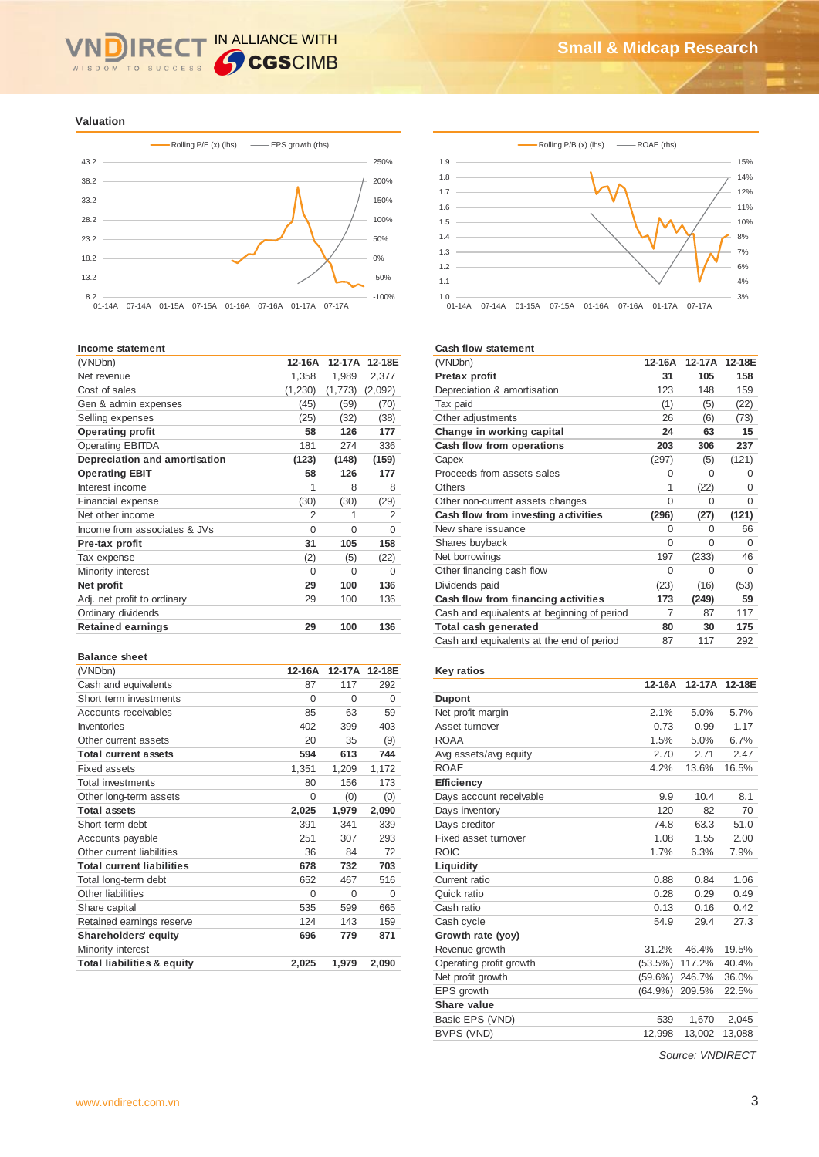### IN ALLIANCE WITH **IRE** WISDOM TO SUCCESS

**Valuation**



#### **Income statement**

| (VNDbn)                       | 12-16A   | 12-17A   | 12-18E         |
|-------------------------------|----------|----------|----------------|
| Net revenue                   | 1,358    | 1,989    | 2,377          |
| Cost of sales                 | (1,230)  | (1, 773) | (2,092)        |
| Gen & admin expenses          | (45)     | (59)     | (70)           |
| Selling expenses              | (25)     | (32)     | (38)           |
| <b>Operating profit</b>       | 58       | 126      | 177            |
| <b>Operating EBITDA</b>       | 181      | 274      | 336            |
| Depreciation and amortisation | (123)    | (148)    | (159)          |
| <b>Operating EBIT</b>         | 58       | 126      | 177            |
| Interest income               | 1        | 8        | 8              |
| <b>Financial expense</b>      | (30)     | (30)     | (29)           |
| Net other income              | 2        | 1        | $\overline{2}$ |
| Income from associates & JVs  | $\Omega$ | $\Omega$ | $\Omega$       |
| Pre-tax profit                | 31       | 105      | 158            |
| Tax expense                   | (2)      | (5)      | (22)           |
| Minority interest             | $\Omega$ | $\Omega$ | 0              |
| Net profit                    | 29       | 100      | 136            |
| Adj. net profit to ordinary   | 29       | 100      | 136            |
| Ordinary dividends            |          |          |                |
| <b>Retained earnings</b>      | 29       | 100      | 136            |
|                               |          |          |                |

#### **Balance sheet**

| (VNDbn)                               | 12-16A   | 12-17A   | 12-18E   |
|---------------------------------------|----------|----------|----------|
| Cash and equivalents                  | 87       | 117      | 292      |
| Short term investments                | $\Omega$ | 0        | $\Omega$ |
| Accounts receivables                  | 85       | 63       | 59       |
| Inventories                           | 402      | 399      | 403      |
| Other current assets                  | 20       | 35       | (9)      |
| <b>Total current assets</b>           | 594      | 613      | 744      |
| Fixed assets                          | 1,351    | 1,209    | 1.172    |
| <b>Total investments</b>              | 80       | 156      | 173      |
| Other long-term assets                | $\Omega$ | (0)      | (0)      |
| <b>Total assets</b>                   | 2,025    | 1,979    | 2,090    |
| Short-term debt                       | 391      | 341      | 339      |
| Accounts payable                      | 251      | 307      | 293      |
| Other current liabilities             | 36       | 84       | 72       |
| <b>Total current liabilities</b>      | 678      | 732      | 703      |
| Total long-term debt                  | 652      | 467      | 516      |
| Other liabilities                     | $\Omega$ | $\Omega$ | $\Omega$ |
| Share capital                         | 535      | 599      | 665      |
| Retained earnings reserve             | 124      | 143      | 159      |
| <b>Shareholders' equity</b>           | 696      | 779      | 871      |
| Minority interest                     |          |          |          |
| <b>Total liabilities &amp; equity</b> | 2,025    | 1,979    | 2,090    |
|                                       |          |          |          |





#### **Cash flow statement**

| (VNDbn)                                     | 12-16A | 12-17A 12-18E |       |
|---------------------------------------------|--------|---------------|-------|
| Pretax profit                               | 31     | 105           | 158   |
| Depreciation & amortisation                 | 123    | 148           | 159   |
| Tax paid                                    | (1)    | (5)           | (22)  |
| Other adjustments                           | 26     | (6)           | (73)  |
| Change in working capital                   | 24     | 63            | 15    |
| Cash flow from operations                   | 203    | 306           | 237   |
| Capex                                       | (297)  | (5)           | (121) |
| Proceeds from assets sales                  | 0      | O             | 0     |
| Others                                      | 1      | (22)          | 0     |
| Other non-current assets changes            | 0      | 0             | 0     |
| Cash flow from investing activities         | (296)  | (27)          | (121) |
| New share issuance                          | 0      | O             | 66    |
| Shares buyback                              | 0      | $\Omega$      | 0     |
| Net borrowings                              | 197    | (233)         | 46    |
| Other financing cash flow                   | 0      | O             | 0     |
| Dividends paid                              | (23)   | (16)          | (53)  |
| Cash flow from financing activities         | 173    | (249)         | 59    |
| Cash and equivalents at beginning of period | 7      | 87            | 117   |
| Total cash generated                        | 80     | 30            | 175   |
| Cash and equivalents at the end of period   | 87     | 117           | 292   |

### **Key ratios**

|                         | 12-16A     | 12-17A | 12-18E |
|-------------------------|------------|--------|--------|
| <b>Dupont</b>           |            |        |        |
| Net profit margin       | 2.1%       | 5.0%   | 5.7%   |
| Asset turnover          | 0.73       | 0.99   | 1.17   |
| <b>ROAA</b>             | 1.5%       | 5.0%   | 6.7%   |
| Avg assets/avg equity   | 2.70       | 2.71   | 2.47   |
| <b>ROAE</b>             | 4.2%       | 13.6%  | 16.5%  |
| <b>Efficiency</b>       |            |        |        |
| Days account receivable | 9.9        | 10.4   | 8.1    |
| Days inventory          | 120        | 82     | 70     |
| Days creditor           | 74.8       | 63.3   | 51.0   |
| Fixed asset turnover    | 1.08       | 1.55   | 2.00   |
| <b>ROIC</b>             | 1.7%       | 6.3%   | 7.9%   |
| Liquidity               |            |        |        |
| Current ratio           | 0.88       | 0.84   | 1.06   |
| Quick ratio             | 0.28       | 0.29   | 0.49   |
| Cash ratio              | 0.13       | 0.16   | 0.42   |
| Cash cycle              | 54.9       | 29.4   | 27.3   |
| Growth rate (yoy)       |            |        |        |
| Revenue growth          | 31.2%      | 46.4%  | 19.5%  |
| Operating profit growth | $(53.5\%)$ | 117.2% | 40.4%  |
| Net profit growth       | $(59.6\%)$ | 246.7% | 36.0%  |
| EPS growth              | $(64.9\%)$ | 209.5% | 22.5%  |
| Share value             |            |        |        |
| Basic EPS (VND)         | 539        | 1,670  | 2,045  |
| BVPS (VND)              | 12,998     | 13,002 | 13,088 |

*Source: VNDIRECT*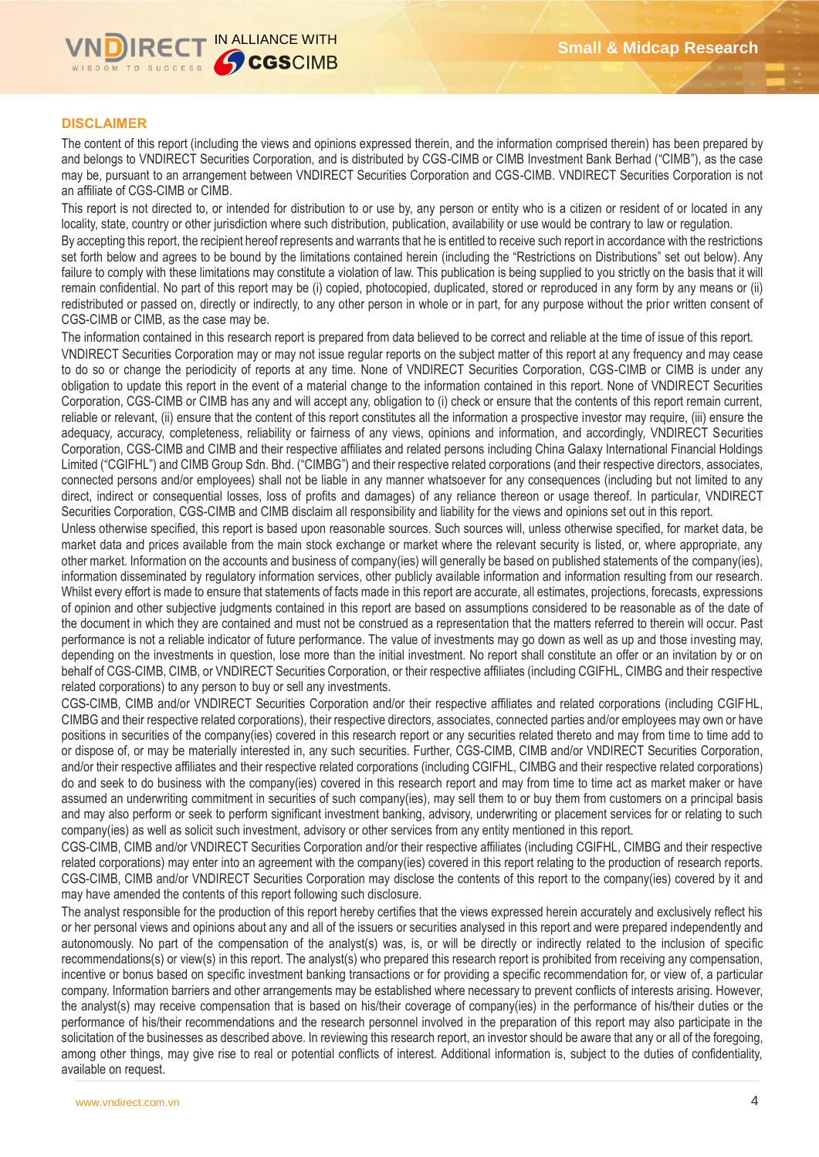

### **DISCLAIMER**

The content of this report (including the views and opinions expressed therein, and the information comprised therein) has been prepared by and belongs to VNDIRECT Securities Corporation, and is distributed by CGS-CIMB or CIMB Investment Bank Berhad ("CIMB"), as the case may be, pursuant to an arrangement between VNDIRECT Securities Corporation and CGS-CIMB. VNDIRECT Securities Corporation is not an affiliate of CGS-CIMB or CIMB.

This report is not directed to, or intended for distribution to or use by, any person or entity who is a citizen or resident of or located in any locality, state, country or other jurisdiction where such distribution, publication, availability or use would be contrary to law or regulation.

By accepting this report, the recipient hereof represents and warrants that he is entitled to receive such report in accordance with the restrictions set forth below and agrees to be bound by the limitations contained herein (including the "Restrictions on Distributions" set out below). Any failure to comply with these limitations may constitute a violation of law. This publication is being supplied to you strictly on the basis that it will remain confidential. No part of this report may be (i) copied, photocopied, duplicated, stored or reproduced in any form by any means or (ii) redistributed or passed on, directly or indirectly, to any other person in whole or in part, for any purpose without the prior written consent of CGS-CIMB or CIMB, as the case may be.

The information contained in this research report is prepared from data believed to be correct and reliable at the time of issue of this report. VNDIRECT Securities Corporation may or may not issue regular reports on the subject matter of this report at any frequency and may cease to do so or change the periodicity of reports at any time. None of VNDIRECT Securities Corporation, CGS-CIMB or CIMB is under any obligation to update this report in the event of a material change to the information contained in this report. None of VNDIRECT Securities Corporation, CGS-CIMB or CIMB has any and will accept any, obligation to (i) check or ensure that the contents of this report remain current, reliable or relevant, (ii) ensure that the content of this report constitutes all the information a prospective investor may require, (iii) ensure the adequacy, accuracy, completeness, reliability or fairness of any views, opinions and information, and accordingly, VNDIRECT Securities Corporation, CGS-CIMB and CIMB and their respective affiliates and related persons including China Galaxy International Financial Holdings Limited ("CGIFHL") and CIMB Group Sdn. Bhd. ("CIMBG") and their respective related corporations (and their respective directors, associates, connected persons and/or employees) shall not be liable in any manner whatsoever for any consequences (including but not limited to any direct, indirect or consequential losses, loss of profits and damages) of any reliance thereon or usage thereof. In particular, VNDIRECT Securities Corporation, CGS-CIMB and CIMB disclaim all responsibility and liability for the views and opinions set out in this report.

Unless otherwise specified, this report is based upon reasonable sources. Such sources will, unless otherwise specified, for market data, be market data and prices available from the main stock exchange or market where the relevant security is listed, or, where appropriate, any other market. Information on the accounts and business of company(ies) will generally be based on published statements of the company(ies), information disseminated by regulatory information services, other publicly available information and information resulting from our research. Whilst every effort is made to ensure that statements of facts made in this report are accurate, all estimates, projections, forecasts, expressions of opinion and other subjective judgments contained in this report are based on assumptions considered to be reasonable as of the date of the document in which they are contained and must not be construed as a representation that the matters referred to therein will occur. Past performance is not a reliable indicator of future performance. The value of investments may go down as well as up and those investing may, depending on the investments in question, lose more than the initial investment. No report shall constitute an offer or an invitation by or on behalf of CGS-CIMB, CIMB, or VNDIRECT Securities Corporation, or their respective affiliates (including CGIFHL, CIMBG and their respective related corporations) to any person to buy or sell any investments.

CGS-CIMB, CIMB and/or VNDIRECT Securities Corporation and/or their respective affiliates and related corporations (including CGIFHL, CIMBG and their respective related corporations), their respective directors, associates, connected parties and/or employees may own or have positions in securities of the company(ies) covered in this research report or any securities related thereto and may from time to time add to or dispose of, or may be materially interested in, any such securities. Further, CGS-CIMB, CIMB and/or VNDIRECT Securities Corporation, and/or their respective affiliates and their respective related corporations (including CGIFHL, CIMBG and their respective related corporations) do and seek to do business with the company(ies) covered in this research report and may from time to time act as market maker or have assumed an underwriting commitment in securities of such company(ies), may sell them to or buy them from customers on a principal basis and may also perform or seek to perform significant investment banking, advisory, underwriting or placement services for or relating to such company(ies) as well as solicit such investment, advisory or other services from any entity mentioned in this report.

CGS-CIMB, CIMB and/or VNDIRECT Securities Corporation and/or their respective affiliates (including CGIFHL, CIMBG and their respective related corporations) may enter into an agreement with the company(ies) covered in this report relating to the production of research reports. CGS-CIMB, CIMB and/or VNDIRECT Securities Corporation may disclose the contents of this report to the company(ies) covered by it and may have amended the contents of this report following such disclosure.

The analyst responsible for the production of this report hereby certifies that the views expressed herein accurately and exclusively reflect his or her personal views and opinions about any and all of the issuers or securities analysed in this report and were prepared independently and autonomously. No part of the compensation of the analyst(s) was, is, or will be directly or indirectly related to the inclusion of specific recommendations(s) or view(s) in this report. The analyst(s) who prepared this research report is prohibited from receiving any compensation, incentive or bonus based on specific investment banking transactions or for providing a specific recommendation for, or view of, a particular company. Information barriers and other arrangements may be established where necessary to prevent conflicts of interests arising. However, the analyst(s) may receive compensation that is based on his/their coverage of company(ies) in the performance of his/their duties or the performance of his/their recommendations and the research personnel involved in the preparation of this report may also participate in the solicitation of the businesses as described above. In reviewing this research report, an investor should be aware that any or all of the foregoing, among other things, may give rise to real or potential conflicts of interest. Additional information is, subject to the duties of confidentiality, available on request.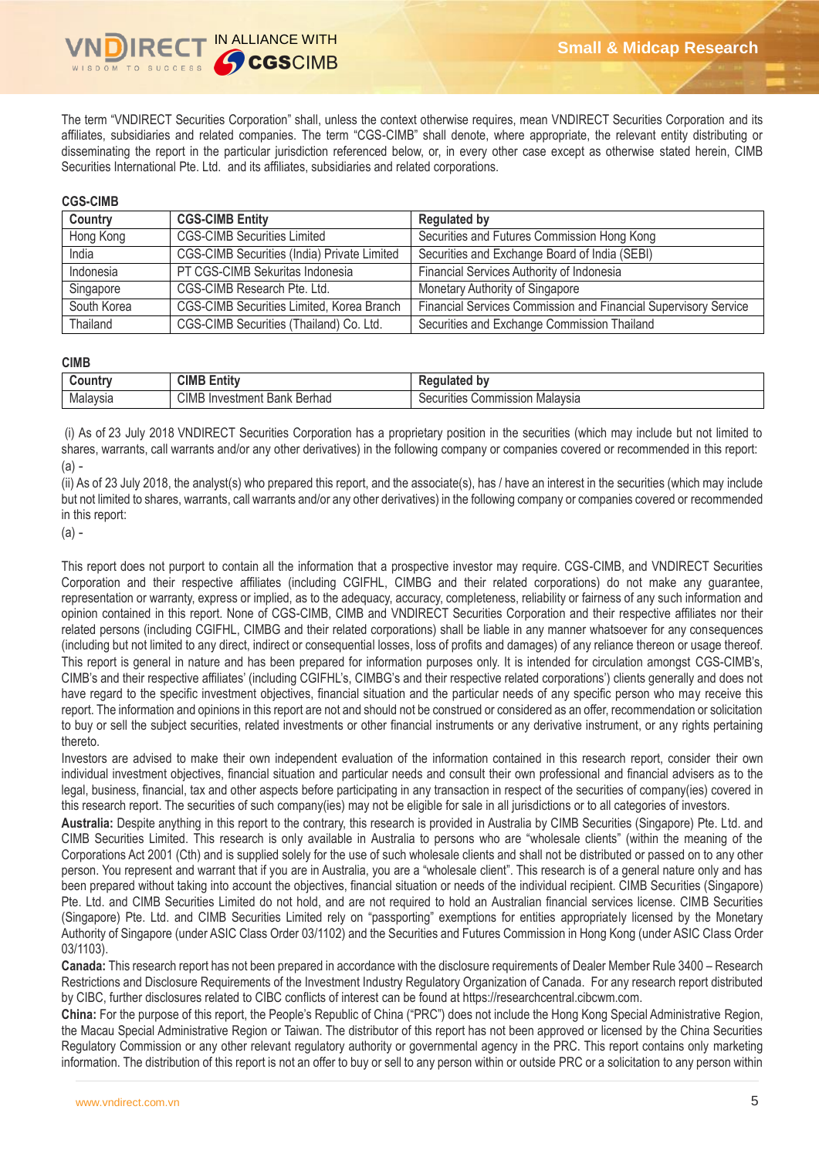

The term "VNDIRECT Securities Corporation" shall, unless the context otherwise requires, mean VNDIRECT Securities Corporation and its affiliates, subsidiaries and related companies. The term "CGS-CIMB" shall denote, where appropriate, the relevant entity distributing or disseminating the report in the particular jurisdiction referenced below, or, in every other case except as otherwise stated herein, CIMB Securities International Pte. Ltd. and its affiliates, subsidiaries and related corporations.

### **CGS-CIMB**

| Country     | <b>CGS-CIMB Entity</b>                             | <b>Regulated by</b>                                             |
|-------------|----------------------------------------------------|-----------------------------------------------------------------|
| Hong Kong   | <b>CGS-CIMB Securities Limited</b>                 | Securities and Futures Commission Hong Kong                     |
| India       | <b>CGS-CIMB Securities (India) Private Limited</b> | Securities and Exchange Board of India (SEBI)                   |
| Indonesia   | PT CGS-CIMB Sekuritas Indonesia                    | Financial Services Authority of Indonesia                       |
| Singapore   | CGS-CIMB Research Pte. Ltd.                        | Monetary Authority of Singapore                                 |
| South Korea | CGS-CIMB Securities Limited, Korea Branch          | Financial Services Commission and Financial Supervisory Service |
| Thailand    | CGS-CIMB Securities (Thailand) Co. Ltd.            | Securities and Exchange Commission Thailand                     |

### **CIMB**

| こountr   | CIMB<br>$\overline{a}$<br>$\sim$<br><b>Entity</b>  | b٧<br>ulator<br><b>Regulated</b>     |
|----------|----------------------------------------------------|--------------------------------------|
| Malavsia | CIMB<br>Berhad<br>Investmen <sup>*</sup><br>Bank i | Malavsia<br>Commission<br>Securities |

(i) As of 23 July 2018 VNDIRECT Securities Corporation has a proprietary position in the securities (which may include but not limited to shares, warrants, call warrants and/or any other derivatives) in the following company or companies covered or recommended in this report:  $(a) -$ 

(ii) As of 23 July 2018, the analyst(s) who prepared this report, and the associate(s), has / have an interest in the securities (which may include but not limited to shares, warrants, call warrants and/or any other derivatives) in the following company or companies covered or recommended in this report:

(a) -

This report does not purport to contain all the information that a prospective investor may require. CGS-CIMB, and VNDIRECT Securities Corporation and their respective affiliates (including CGIFHL, CIMBG and their related corporations) do not make any guarantee, representation or warranty, express or implied, as to the adequacy, accuracy, completeness, reliability or fairness of any such information and opinion contained in this report. None of CGS-CIMB, CIMB and VNDIRECT Securities Corporation and their respective affiliates nor their related persons (including CGIFHL, CIMBG and their related corporations) shall be liable in any manner whatsoever for any consequences (including but not limited to any direct, indirect or consequential losses, loss of profits and damages) of any reliance thereon or usage thereof. This report is general in nature and has been prepared for information purposes only. It is intended for circulation amongst CGS-CIMB's, CIMB's and their respective affiliates' (including CGIFHL's, CIMBG's and their respective related corporations') clients generally and does not have regard to the specific investment objectives, financial situation and the particular needs of any specific person who may receive this report. The information and opinions in this report are not and should not be construed or considered as an offer, recommendation or solicitation to buy or sell the subject securities, related investments or other financial instruments or any derivative instrument, or any rights pertaining thereto.

Investors are advised to make their own independent evaluation of the information contained in this research report, consider their own individual investment objectives, financial situation and particular needs and consult their own professional and financial advisers as to the legal, business, financial, tax and other aspects before participating in any transaction in respect of the securities of company(ies) covered in this research report. The securities of such company(ies) may not be eligible for sale in all jurisdictions or to all categories of investors.

**Australia:** Despite anything in this report to the contrary, this research is provided in Australia by CIMB Securities (Singapore) Pte. Ltd. and CIMB Securities Limited. This research is only available in Australia to persons who are "wholesale clients" (within the meaning of the Corporations Act 2001 (Cth) and is supplied solely for the use of such wholesale clients and shall not be distributed or passed on to any other person. You represent and warrant that if you are in Australia, you are a "wholesale client". This research is of a general nature only and has been prepared without taking into account the objectives, financial situation or needs of the individual recipient. CIMB Securities (Singapore) Pte. Ltd. and CIMB Securities Limited do not hold, and are not required to hold an Australian financial services license. CIMB Securities (Singapore) Pte. Ltd. and CIMB Securities Limited rely on "passporting" exemptions for entities appropriately licensed by the Monetary Authority of Singapore (under ASIC Class Order 03/1102) and the Securities and Futures Commission in Hong Kong (under ASIC Class Order 03/1103).

**Canada:** This research report has not been prepared in accordance with the disclosure requirements of Dealer Member Rule 3400 – Research Restrictions and Disclosure Requirements of the Investment Industry Regulatory Organization of Canada. For any research report distributed by CIBC, further disclosures related to CIBC conflicts of interest can be found at https://researchcentral.cibcwm.com.

**China:** For the purpose of this report, the People's Republic of China ("PRC") does not include the Hong Kong Special Administrative Region, the Macau Special Administrative Region or Taiwan. The distributor of this report has not been approved or licensed by the China Securities Regulatory Commission or any other relevant regulatory authority or governmental agency in the PRC. This report contains only marketing information. The distribution of this report is not an offer to buy or sell to any person within or outside PRC or a solicitation to any person within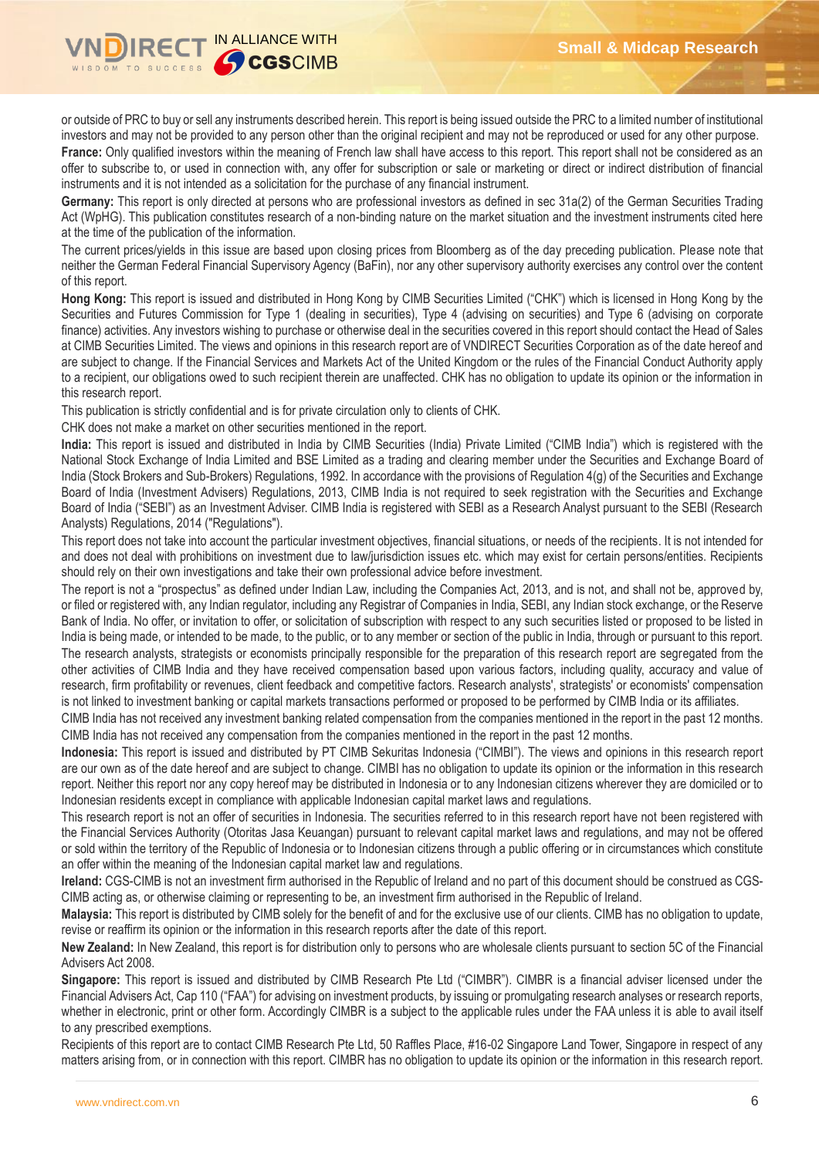

or outside of PRC to buy or sell any instruments described herein. This report is being issued outside the PRC to a limited number of institutional investors and may not be provided to any person other than the original recipient and may not be reproduced or used for any other purpose. France: Only qualified investors within the meaning of French law shall have access to this report. This report shall not be considered as an offer to subscribe to, or used in connection with, any offer for subscription or sale or marketing or direct or indirect distribution of financial instruments and it is not intended as a solicitation for the purchase of any financial instrument.

**Germany:** This report is only directed at persons who are professional investors as defined in sec 31a(2) of the German Securities Trading Act (WpHG). This publication constitutes research of a non-binding nature on the market situation and the investment instruments cited here at the time of the publication of the information.

The current prices/yields in this issue are based upon closing prices from Bloomberg as of the day preceding publication. Please note that neither the German Federal Financial Supervisory Agency (BaFin), nor any other supervisory authority exercises any control over the content of this report.

**Hong Kong:** This report is issued and distributed in Hong Kong by CIMB Securities Limited ("CHK") which is licensed in Hong Kong by the Securities and Futures Commission for Type 1 (dealing in securities), Type 4 (advising on securities) and Type 6 (advising on corporate finance) activities. Any investors wishing to purchase or otherwise deal in the securities covered in this report should contact the Head of Sales at CIMB Securities Limited. The views and opinions in this research report are of VNDIRECT Securities Corporation as of the date hereof and are subject to change. If the Financial Services and Markets Act of the United Kingdom or the rules of the Financial Conduct Authority apply to a recipient, our obligations owed to such recipient therein are unaffected. CHK has no obligation to update its opinion or the information in this research report.

This publication is strictly confidential and is for private circulation only to clients of CHK.

CHK does not make a market on other securities mentioned in the report.

**India:** This report is issued and distributed in India by CIMB Securities (India) Private Limited ("CIMB India") which is registered with the National Stock Exchange of India Limited and BSE Limited as a trading and clearing member under the Securities and Exchange Board of India (Stock Brokers and Sub-Brokers) Regulations, 1992. In accordance with the provisions of Regulation 4(g) of the Securities and Exchange Board of India (Investment Advisers) Regulations, 2013, CIMB India is not required to seek registration with the Securities and Exchange Board of India ("SEBI") as an Investment Adviser. CIMB India is registered with SEBI as a Research Analyst pursuant to the SEBI (Research Analysts) Regulations, 2014 ("Regulations").

This report does not take into account the particular investment objectives, financial situations, or needs of the recipients. It is not intended for and does not deal with prohibitions on investment due to law/jurisdiction issues etc. which may exist for certain persons/entities. Recipients should rely on their own investigations and take their own professional advice before investment.

The report is not a "prospectus" as defined under Indian Law, including the Companies Act, 2013, and is not, and shall not be, approved by, or filed or registered with, any Indian regulator, including any Registrar of Companies in India, SEBI, any Indian stock exchange, or the Reserve Bank of India. No offer, or invitation to offer, or solicitation of subscription with respect to any such securities listed or proposed to be listed in India is being made, or intended to be made, to the public, or to any member or section of the public in India, through or pursuant to this report. The research analysts, strategists or economists principally responsible for the preparation of this research report are segregated from the other activities of CIMB India and they have received compensation based upon various factors, including quality, accuracy and value of research, firm profitability or revenues, client feedback and competitive factors. Research analysts', strategists' or economists' compensation is not linked to investment banking or capital markets transactions performed or proposed to be performed by CIMB India or its affiliates.

CIMB India has not received any investment banking related compensation from the companies mentioned in the report in the past 12 months. CIMB India has not received any compensation from the companies mentioned in the report in the past 12 months.

**Indonesia:** This report is issued and distributed by PT CIMB Sekuritas Indonesia ("CIMBI"). The views and opinions in this research report are our own as of the date hereof and are subject to change. CIMBI has no obligation to update its opinion or the information in this research report. Neither this report nor any copy hereof may be distributed in Indonesia or to any Indonesian citizens wherever they are domiciled or to Indonesian residents except in compliance with applicable Indonesian capital market laws and regulations.

This research report is not an offer of securities in Indonesia. The securities referred to in this research report have not been registered with the Financial Services Authority (Otoritas Jasa Keuangan) pursuant to relevant capital market laws and regulations, and may not be offered or sold within the territory of the Republic of Indonesia or to Indonesian citizens through a public offering or in circumstances which constitute an offer within the meaning of the Indonesian capital market law and regulations.

**Ireland:** CGS-CIMB is not an investment firm authorised in the Republic of Ireland and no part of this document should be construed as CGS-CIMB acting as, or otherwise claiming or representing to be, an investment firm authorised in the Republic of Ireland.

**Malaysia:** This report is distributed by CIMB solely for the benefit of and for the exclusive use of our clients. CIMB has no obligation to update, revise or reaffirm its opinion or the information in this research reports after the date of this report.

**New Zealand:** In New Zealand, this report is for distribution only to persons who are wholesale clients pursuant to section 5C of the Financial Advisers Act 2008.

**Singapore:** This report is issued and distributed by CIMB Research Pte Ltd ("CIMBR"). CIMBR is a financial adviser licensed under the Financial Advisers Act, Cap 110 ("FAA") for advising on investment products, by issuing or promulgating research analyses or research reports, whether in electronic, print or other form. Accordingly CIMBR is a subject to the applicable rules under the FAA unless it is able to avail itself to any prescribed exemptions.

Recipients of this report are to contact CIMB Research Pte Ltd, 50 Raffles Place, #16-02 Singapore Land Tower, Singapore in respect of any matters arising from, or in connection with this report. CIMBR has no obligation to update its opinion or the information in this research report.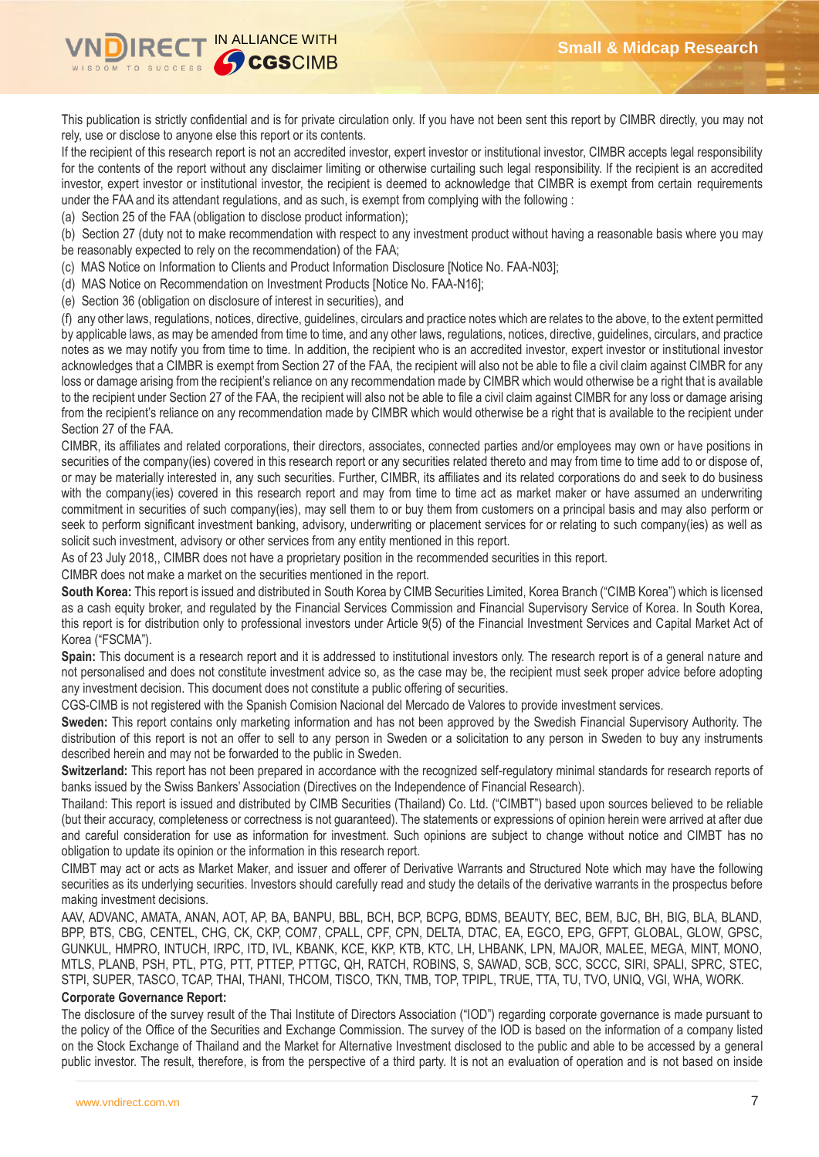

This publication is strictly confidential and is for private circulation only. If you have not been sent this report by CIMBR directly, you may not rely, use or disclose to anyone else this report or its contents.

If the recipient of this research report is not an accredited investor, expert investor or institutional investor, CIMBR accepts legal responsibility for the contents of the report without any disclaimer limiting or otherwise curtailing such legal responsibility. If the recipient is an accredited investor, expert investor or institutional investor, the recipient is deemed to acknowledge that CIMBR is exempt from certain requirements under the FAA and its attendant regulations, and as such, is exempt from complying with the following :

(a) Section 25 of the FAA (obligation to disclose product information);

(b) Section 27 (duty not to make recommendation with respect to any investment product without having a reasonable basis where you may be reasonably expected to rely on the recommendation) of the FAA;

(c) MAS Notice on Information to Clients and Product Information Disclosure [Notice No. FAA-N03];

(d) MAS Notice on Recommendation on Investment Products [Notice No. FAA-N16];

(e) Section 36 (obligation on disclosure of interest in securities), and

(f) any other laws, regulations, notices, directive, guidelines, circulars and practice notes which are relates to the above, to the extent permitted by applicable laws, as may be amended from time to time, and any other laws, regulations, notices, directive, guidelines, circulars, and practice notes as we may notify you from time to time. In addition, the recipient who is an accredited investor, expert investor or institutional investor acknowledges that a CIMBR is exempt from Section 27 of the FAA, the recipient will also not be able to file a civil claim against CIMBR for any loss or damage arising from the recipient's reliance on any recommendation made by CIMBR which would otherwise be a right that is available to the recipient under Section 27 of the FAA, the recipient will also not be able to file a civil claim against CIMBR for any loss or damage arising from the recipient's reliance on any recommendation made by CIMBR which would otherwise be a right that is available to the recipient under Section 27 of the FAA.

CIMBR, its affiliates and related corporations, their directors, associates, connected parties and/or employees may own or have positions in securities of the company(ies) covered in this research report or any securities related thereto and may from time to time add to or dispose of, or may be materially interested in, any such securities. Further, CIMBR, its affiliates and its related corporations do and seek to do business with the company(ies) covered in this research report and may from time to time act as market maker or have assumed an underwriting commitment in securities of such company(ies), may sell them to or buy them from customers on a principal basis and may also perform or seek to perform significant investment banking, advisory, underwriting or placement services for or relating to such company(ies) as well as solicit such investment, advisory or other services from any entity mentioned in this report.

As of 23 July 2018,, CIMBR does not have a proprietary position in the recommended securities in this report.

CIMBR does not make a market on the securities mentioned in the report.

**South Korea:** This report is issued and distributed in South Korea by CIMB Securities Limited, Korea Branch ("CIMB Korea") which is licensed as a cash equity broker, and regulated by the Financial Services Commission and Financial Supervisory Service of Korea. In South Korea, this report is for distribution only to professional investors under Article 9(5) of the Financial Investment Services and Capital Market Act of Korea ("FSCMA").

**Spain:** This document is a research report and it is addressed to institutional investors only. The research report is of a general nature and not personalised and does not constitute investment advice so, as the case may be, the recipient must seek proper advice before adopting any investment decision. This document does not constitute a public offering of securities.

CGS-CIMB is not registered with the Spanish Comision Nacional del Mercado de Valores to provide investment services.

**Sweden:** This report contains only marketing information and has not been approved by the Swedish Financial Supervisory Authority. The distribution of this report is not an offer to sell to any person in Sweden or a solicitation to any person in Sweden to buy any instruments described herein and may not be forwarded to the public in Sweden.

**Switzerland:** This report has not been prepared in accordance with the recognized self-regulatory minimal standards for research reports of banks issued by the Swiss Bankers' Association (Directives on the Independence of Financial Research).

Thailand: This report is issued and distributed by CIMB Securities (Thailand) Co. Ltd. ("CIMBT") based upon sources believed to be reliable (but their accuracy, completeness or correctness is not guaranteed). The statements or expressions of opinion herein were arrived at after due and careful consideration for use as information for investment. Such opinions are subject to change without notice and CIMBT has no obligation to update its opinion or the information in this research report.

CIMBT may act or acts as Market Maker, and issuer and offerer of Derivative Warrants and Structured Note which may have the following securities as its underlying securities. Investors should carefully read and study the details of the derivative warrants in the prospectus before making investment decisions.

AAV, ADVANC, AMATA, ANAN, AOT, AP, BA, BANPU, BBL, BCH, BCP, BCPG, BDMS, BEAUTY, BEC, BEM, BJC, BH, BIG, BLA, BLAND, BPP, BTS, CBG, CENTEL, CHG, CK, CKP, COM7, CPALL, CPF, CPN, DELTA, DTAC, EA, EGCO, EPG, GFPT, GLOBAL, GLOW, GPSC, GUNKUL, HMPRO, INTUCH, IRPC, ITD, IVL, KBANK, KCE, KKP, KTB, KTC, LH, LHBANK, LPN, MAJOR, MALEE, MEGA, MINT, MONO, MTLS, PLANB, PSH, PTL, PTG, PTT, PTTEP, PTTGC, QH, RATCH, ROBINS, S, SAWAD, SCB, SCC, SCCC, SIRI, SPALI, SPRC, STEC, STPI, SUPER, TASCO, TCAP, THAI, THANI, THCOM, TISCO, TKN, TMB, TOP, TPIPL, TRUE, TTA, TU, TVO, UNIQ, VGI, WHA, WORK.

### **Corporate Governance Report:**

The disclosure of the survey result of the Thai Institute of Directors Association ("IOD") regarding corporate governance is made pursuant to the policy of the Office of the Securities and Exchange Commission. The survey of the IOD is based on the information of a company listed on the Stock Exchange of Thailand and the Market for Alternative Investment disclosed to the public and able to be accessed by a general public investor. The result, therefore, is from the perspective of a third party. It is not an evaluation of operation and is not based on inside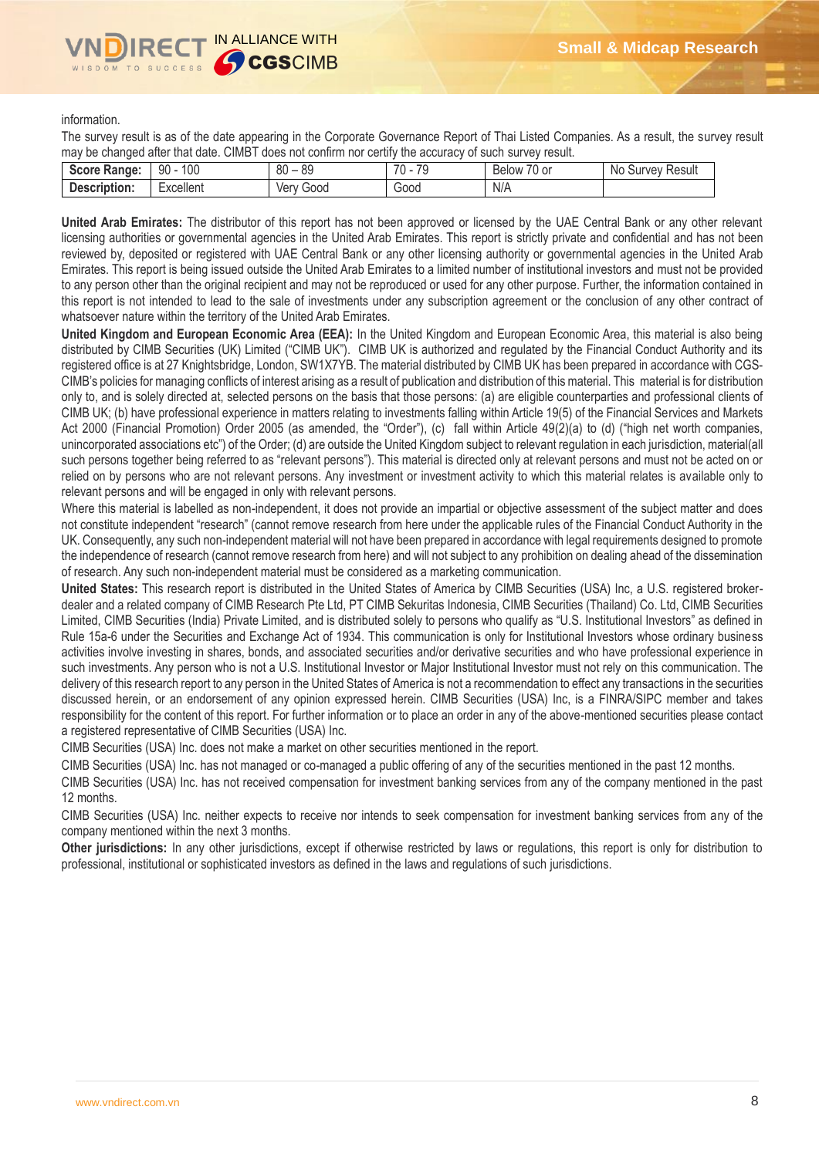

information.

The survey result is as of the date appearing in the Corporate Governance Report of Thai Listed Companies. As a result, the survey result may be changed after that date. CIMBT does not confirm nor certify the accuracy of such survey result.

| 100<br>$\overline{\phantom{a}}$<br>0C<br>$\overline{\phantom{a}}$<br>$\overline{\phantom{a}}$<br>$\circ$<br>90<br><b>Score Range:</b><br>No.<br>0 or<br>Survey<br><b>Below</b><br>ou<br>೦೮<br>- 14<br>u |  |  |        |
|---------------------------------------------------------------------------------------------------------------------------------------------------------------------------------------------------------|--|--|--------|
|                                                                                                                                                                                                         |  |  | Result |
| $\cdots$<br>N/A<br>Excellent<br>Good<br>Good<br>Description:<br>ver                                                                                                                                     |  |  |        |

**United Arab Emirates:** The distributor of this report has not been approved or licensed by the UAE Central Bank or any other relevant licensing authorities or governmental agencies in the United Arab Emirates. This report is strictly private and confidential and has not been reviewed by, deposited or registered with UAE Central Bank or any other licensing authority or governmental agencies in the United Arab Emirates. This report is being issued outside the United Arab Emirates to a limited number of institutional investors and must not be provided to any person other than the original recipient and may not be reproduced or used for any other purpose. Further, the information contained in this report is not intended to lead to the sale of investments under any subscription agreement or the conclusion of any other contract of whatsoever nature within the territory of the United Arab Emirates.

**United Kingdom and European Economic Area (EEA):** In the United Kingdom and European Economic Area, this material is also being distributed by CIMB Securities (UK) Limited ("CIMB UK"). CIMB UK is authorized and regulated by the Financial Conduct Authority and its registered office is at 27 Knightsbridge, London, SW1X7YB. The material distributed by CIMB UK has been prepared in accordance with CGS-CIMB's policies for managing conflicts of interest arising as a result of publication and distribution of this material. This material is for distribution only to, and is solely directed at, selected persons on the basis that those persons: (a) are eligible counterparties and professional clients of CIMB UK; (b) have professional experience in matters relating to investments falling within Article 19(5) of the Financial Services and Markets Act 2000 (Financial Promotion) Order 2005 (as amended, the "Order"), (c) fall within Article 49(2)(a) to (d) ("high net worth companies, unincorporated associations etc") of the Order; (d) are outside the United Kingdom subject to relevant regulation in each jurisdiction, material(all such persons together being referred to as "relevant persons"). This material is directed only at relevant persons and must not be acted on or relied on by persons who are not relevant persons. Any investment or investment activity to which this material relates is available only to relevant persons and will be engaged in only with relevant persons.

Where this material is labelled as non-independent, it does not provide an impartial or objective assessment of the subject matter and does not constitute independent "research" (cannot remove research from here under the applicable rules of the Financial Conduct Authority in the UK. Consequently, any such non-independent material will not have been prepared in accordance with legal requirements designed to promote the independence of research (cannot remove research from here) and will not subject to any prohibition on dealing ahead of the dissemination of research. Any such non-independent material must be considered as a marketing communication.

**United States:** This research report is distributed in the United States of America by CIMB Securities (USA) Inc, a U.S. registered brokerdealer and a related company of CIMB Research Pte Ltd, PT CIMB Sekuritas Indonesia, CIMB Securities (Thailand) Co. Ltd, CIMB Securities Limited, CIMB Securities (India) Private Limited, and is distributed solely to persons who qualify as "U.S. Institutional Investors" as defined in Rule 15a-6 under the Securities and Exchange Act of 1934. This communication is only for Institutional Investors whose ordinary business activities involve investing in shares, bonds, and associated securities and/or derivative securities and who have professional experience in such investments. Any person who is not a U.S. Institutional Investor or Major Institutional Investor must not rely on this communication. The delivery of this research report to any person in the United States of America is not a recommendation to effect any transactions in the securities discussed herein, or an endorsement of any opinion expressed herein. CIMB Securities (USA) Inc, is a FINRA/SIPC member and takes responsibility for the content of this report. For further information or to place an order in any of the above-mentioned securities please contact a registered representative of CIMB Securities (USA) Inc.

CIMB Securities (USA) Inc. does not make a market on other securities mentioned in the report.

CIMB Securities (USA) Inc. has not managed or co-managed a public offering of any of the securities mentioned in the past 12 months.

CIMB Securities (USA) Inc. has not received compensation for investment banking services from any of the company mentioned in the past 12 months.

CIMB Securities (USA) Inc. neither expects to receive nor intends to seek compensation for investment banking services from any of the company mentioned within the next 3 months.

**Other jurisdictions:** In any other jurisdictions, except if otherwise restricted by laws or regulations, this report is only for distribution to professional, institutional or sophisticated investors as defined in the laws and regulations of such jurisdictions.